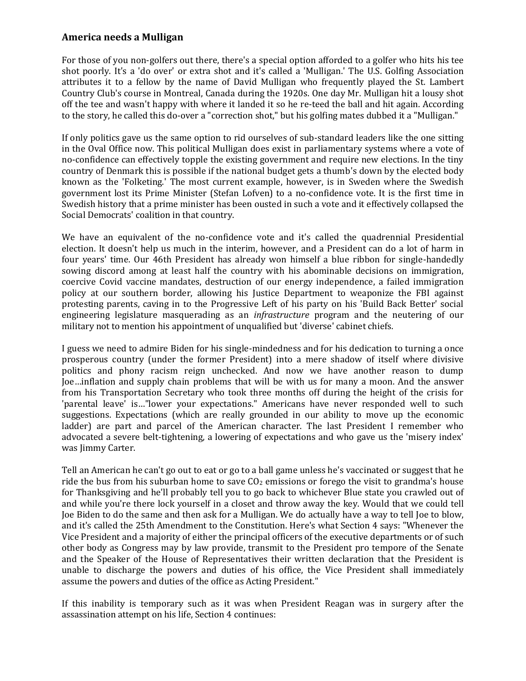## **America needs a Mulligan**

For those of you non-golfers out there, there's a special option afforded to a golfer who hits his tee shot poorly. It's a 'do over' or extra shot and it's called a 'Mulligan.' The U.S. Golfing Association attributes it to a fellow by the name of David Mulligan who frequently played the St. Lambert Country Club's course in Montreal, Canada during the 1920s. One day Mr. Mulligan hit a lousy shot off the tee and wasn't happy with where it landed it so he re-teed the ball and hit again. According to the story, he called this do-over a "correction shot," but his golfing mates dubbed it a "Mulligan."

If only politics gave us the same option to rid ourselves of sub-standard leaders like the one sitting in the Oval Office now. This political Mulligan does exist in parliamentary systems where a vote of no-confidence can effectively topple the existing government and require new elections. In the tiny country of Denmark this is possible if the national budget gets a thumb's down by the elected body known as the 'Folketing.' The most current example, however, is in Sweden where the Swedish government lost its Prime Minister (Stefan Lofven) to a no-confidence vote. It is the first time in Swedish history that a prime minister has been ousted in such a vote and it effectively collapsed the Social Democrats' coalition in that country.

We have an equivalent of the no-confidence vote and it's called the quadrennial Presidential election. It doesn't help us much in the interim, however, and a President can do a lot of harm in four years' time. Our 46th President has already won himself a blue ribbon for single-handedly sowing discord among at least half the country with his abominable decisions on immigration, coercive Covid vaccine mandates, destruction of our energy independence, a failed immigration policy at our southern border, allowing his Justice Department to weaponize the FBI against protesting parents, caving in to the Progressive Left of his party on his 'Build Back Better' social engineering legislature masquerading as an *infrastructure* program and the neutering of our military not to mention his appointment of unqualified but 'diverse' cabinet chiefs.

I guess we need to admire Biden for his single-mindedness and for his dedication to turning a once prosperous country (under the former President) into a mere shadow of itself where divisive politics and phony racism reign unchecked. And now we have another reason to dump Joe…inflation and supply chain problems that will be with us for many a moon. And the answer from his Transportation Secretary who took three months off during the height of the crisis for 'parental leave' is…"lower your expectations." Americans have never responded well to such suggestions. Expectations (which are really grounded in our ability to move up the economic ladder) are part and parcel of the American character. The last President I remember who advocated a severe belt-tightening, a lowering of expectations and who gave us the 'misery index' was Jimmy Carter.

Tell an American he can't go out to eat or go to a ball game unless he's vaccinated or suggest that he ride the bus from his suburban home to save  $CO<sub>2</sub>$  emissions or forego the visit to grandma's house for Thanksgiving and he'll probably tell you to go back to whichever Blue state you crawled out of and while you're there lock yourself in a closet and throw away the key. Would that we could tell Joe Biden to do the same and then ask for a Mulligan. We do actually have a way to tell Joe to blow, and it's called the 25th Amendment to the Constitution. Here's what Section 4 says: "Whenever the Vice President and a majority of either the principal officers of the executive departments or of such other body as Congress may by law provide, transmit to the President pro tempore of the Senate and the Speaker of the House of Representatives their written declaration that the President is unable to discharge the powers and duties of his office, the Vice President shall immediately assume the powers and duties of the office as Acting President."

If this inability is temporary such as it was when President Reagan was in surgery after the assassination attempt on his life, Section 4 continues: